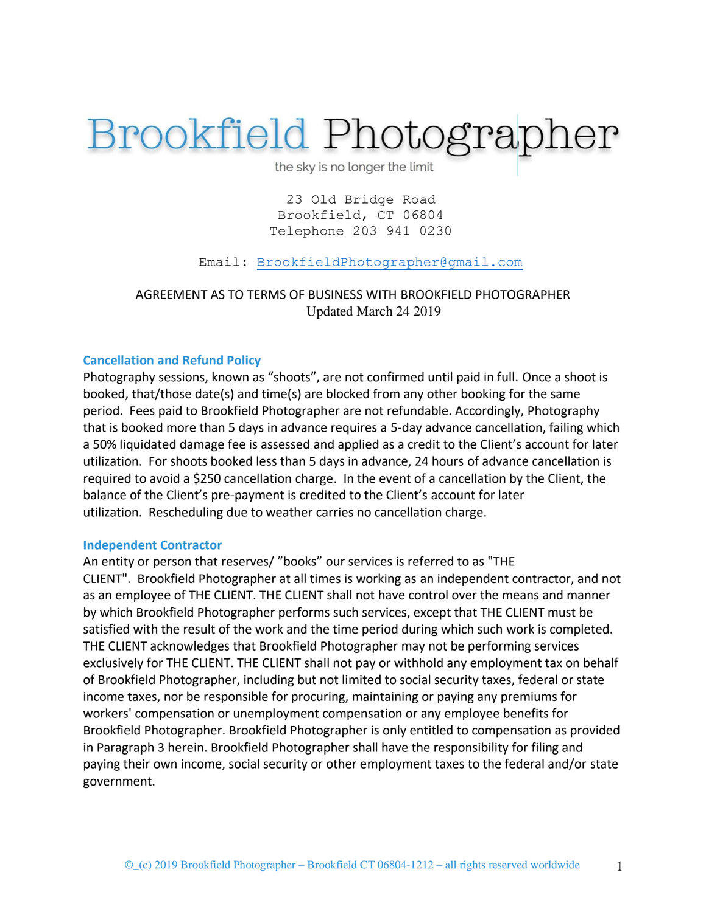# **Brookfield Photographer**

the sky is no longer the limit

23 Old Bridge Road Brookfield, CT 06804 Telephone 203 941 0230

Email: [BrookfieldPhotographer@gmail.com](mailto:BrookfieldPhotographer@gmail.com)

AGREEMENT AS TO TERMS OF BUSINESS WITH BROOKFIELD PHOTOGRAPHER Updated March 24 2019

## **Cancellation and Refund Policy**

Photography sessions, known as "shoots", are not confirmed until paid in full. Once a shoot is booked, that/those date(s) and time(s) are blocked from any other booking for the same period. Fees paid to Brookfield Photographer are not refundable. Accordingly, Photography that is booked more than 5 days in advance requires a 5-day advance cancellation, failing which a 50% liquidated damage fee is assessed and applied as a credit to the Client's account for later utilization. For shoots booked less than 5 days in advance, 24 hours of advance cancellation is required to avoid a \$250 cancellation charge. In the event of a cancellation by the Client, the balance of the Client's pre-payment is credited to the Client's account for later utilization. Rescheduling due to weather carries no cancellation charge.

# **Independent Contractor**

An entity or person that reserves/ "books" our services is referred to as "THE CLIENT". Brookfield Photographer at all times is working as an independent contractor, and not as an employee of THE CLIENT. THE CLIENT shall not have control over the means and manner by which Brookfield Photographer performs such services, except that THE CLIENT must be satisfied with the result of the work and the time period during which such work is completed. THE CLIENT acknowledges that Brookfield Photographer may not be performing services exclusively for THE CLIENT. THE CLIENT shall not pay or withhold any employment tax on behalf of Brookfield Photographer, including but not limited to social security taxes, federal or state income taxes, nor be responsible for procuring, maintaining or paying any premiums for workers' compensation or unemployment compensation or any employee benefits for Brookfield Photographer. Brookfield Photographer is only entitled to compensation as provided in Paragraph 3 herein. Brookfield Photographer shall have the responsibility for filing and paying their own income, social security or other employment taxes to the federal and/or state government.